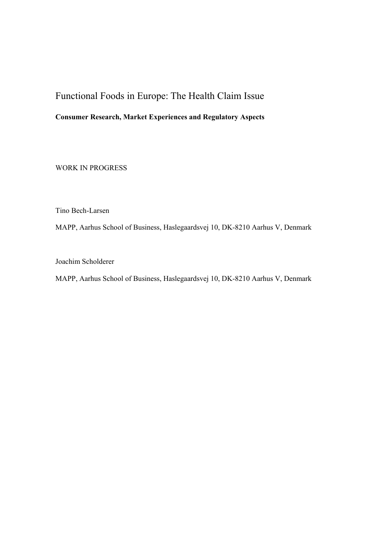# Functional Foods in Europe: The Health Claim Issue

# **Consumer Research, Market Experiences and Regulatory Aspects**

WORK IN PROGRESS

Tino Bech-Larsen

MAPP, Aarhus School of Business, Haslegaardsvej 10, DK-8210 Aarhus V, Denmark

Joachim Scholderer

MAPP, Aarhus School of Business, Haslegaardsvej 10, DK-8210 Aarhus V, Denmark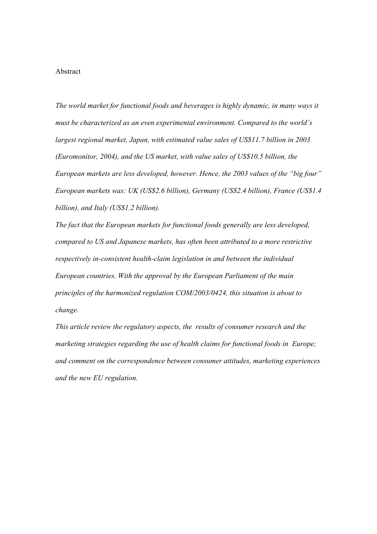#### Abstract

*The world market for functional foods and beverages is highly dynamic, in many ways it must be characterized as an even experimental environment. Compared to the world's largest regional market, Japan, with estimated value sales of US\$11.7 billion in 2003 (Euromonitor, 2004), and the US market, with value sales of US\$10.5 billion, the European markets are less developed, however. Hence, the 2003 values of the "big four" European markets was: UK (US\$2.6 billion), Germany (US\$2.4 billion), France (US\$1.4 billion), and Italy (US\$1.2 billion).* 

*The fact that the European markets for functional foods generally are less developed, compared to US and Japanese markets, has often been attributed to a more restrictive respectively in-consistent health-claim legislation in and between the individual European countries. With the approval by the European Parliament of the main principles of the harmonized regulation COM/2003/0424, this situation is about to change.* 

*This article review the regulatory aspects, the results of consumer research and the marketing strategies regarding the use of health claims for functional foods in Europe; and comment on the correspondence between consumer attitudes, marketing experiences and the new EU regulation.*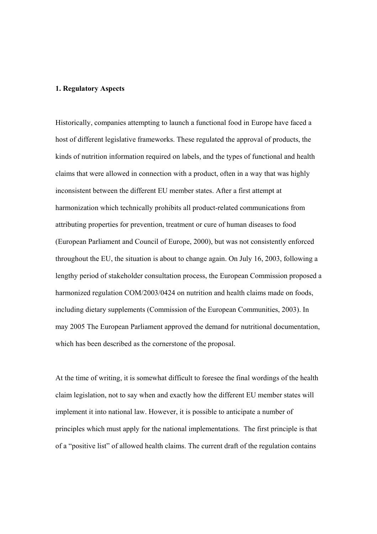## **1. Regulatory Aspects**

Historically, companies attempting to launch a functional food in Europe have faced a host of different legislative frameworks. These regulated the approval of products, the kinds of nutrition information required on labels, and the types of functional and health claims that were allowed in connection with a product, often in a way that was highly inconsistent between the different EU member states. After a first attempt at harmonization which technically prohibits all product-related communications from attributing properties for prevention, treatment or cure of human diseases to food (European Parliament and Council of Europe, 2000), but was not consistently enforced throughout the EU, the situation is about to change again. On July 16, 2003, following a lengthy period of stakeholder consultation process, the European Commission proposed a harmonized regulation COM/2003/0424 on nutrition and health claims made on foods, including dietary supplements (Commission of the European Communities, 2003). In may 2005 The European Parliament approved the demand for nutritional documentation, which has been described as the cornerstone of the proposal.

At the time of writing, it is somewhat difficult to foresee the final wordings of the health claim legislation, not to say when and exactly how the different EU member states will implement it into national law. However, it is possible to anticipate a number of principles which must apply for the national implementations. The first principle is that of a "positive list" of allowed health claims. The current draft of the regulation contains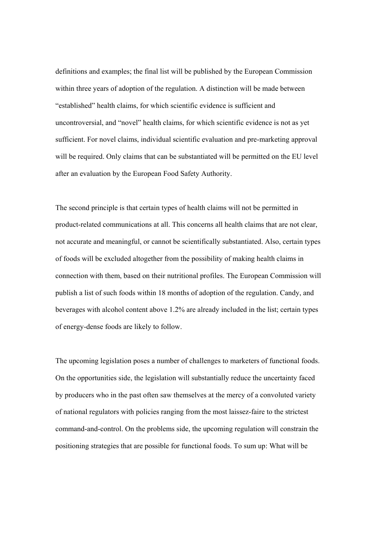definitions and examples; the final list will be published by the European Commission within three years of adoption of the regulation. A distinction will be made between "established" health claims, for which scientific evidence is sufficient and uncontroversial, and "novel" health claims, for which scientific evidence is not as yet sufficient. For novel claims, individual scientific evaluation and pre-marketing approval will be required. Only claims that can be substantiated will be permitted on the EU level after an evaluation by the European Food Safety Authority.

The second principle is that certain types of health claims will not be permitted in product-related communications at all. This concerns all health claims that are not clear, not accurate and meaningful, or cannot be scientifically substantiated. Also, certain types of foods will be excluded altogether from the possibility of making health claims in connection with them, based on their nutritional profiles. The European Commission will publish a list of such foods within 18 months of adoption of the regulation. Candy, and beverages with alcohol content above 1.2% are already included in the list; certain types of energy-dense foods are likely to follow.

The upcoming legislation poses a number of challenges to marketers of functional foods. On the opportunities side, the legislation will substantially reduce the uncertainty faced by producers who in the past often saw themselves at the mercy of a convoluted variety of national regulators with policies ranging from the most laissez-faire to the strictest command-and-control. On the problems side, the upcoming regulation will constrain the positioning strategies that are possible for functional foods. To sum up: What will be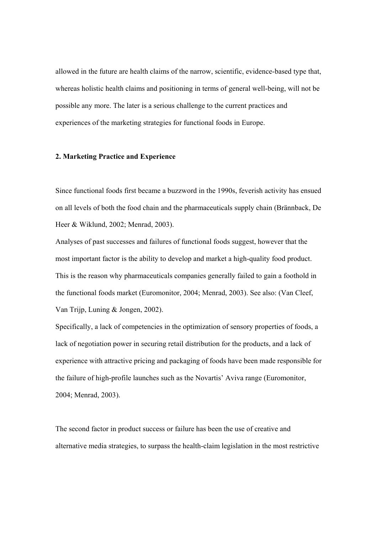allowed in the future are health claims of the narrow, scientific, evidence-based type that, whereas holistic health claims and positioning in terms of general well-being, will not be possible any more. The later is a serious challenge to the current practices and experiences of the marketing strategies for functional foods in Europe.

#### **2. Marketing Practice and Experience**

Since functional foods first became a buzzword in the 1990s, feverish activity has ensued on all levels of both the food chain and the pharmaceuticals supply chain (Brännback, De Heer & Wiklund, 2002; Menrad, 2003).

Analyses of past successes and failures of functional foods suggest, however that the most important factor is the ability to develop and market a high-quality food product. This is the reason why pharmaceuticals companies generally failed to gain a foothold in the functional foods market (Euromonitor, 2004; Menrad, 2003). See also: (Van Cleef, Van Trijp, Luning & Jongen, 2002).

Specifically, a lack of competencies in the optimization of sensory properties of foods, a lack of negotiation power in securing retail distribution for the products, and a lack of experience with attractive pricing and packaging of foods have been made responsible for the failure of high-profile launches such as the Novartis' Aviva range (Euromonitor, 2004; Menrad, 2003).

The second factor in product success or failure has been the use of creative and alternative media strategies, to surpass the health-claim legislation in the most restrictive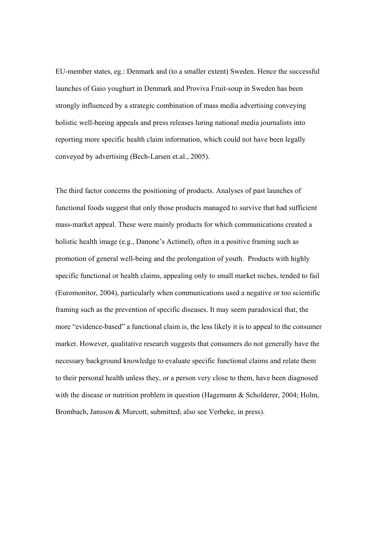EU-member states, eg.: Denmark and (to a smaller extent) Sweden. Hence the successful launches of Gaio youghurt in Denmark and Proviva Fruit-soup in Sweden has been strongly influenced by a strategic combination of mass media advertising conveying holistic well-beeing appeals and press releases luring national media journalists into reporting more specific health claim information, which could not have been legally conveyed by advertising (Bech-Larsen et.al., 2005).

The third factor concerns the positioning of products. Analyses of past launches of functional foods suggest that only those products managed to survive that had sufficient mass-market appeal. These were mainly products for which communications created a holistic health image (e.g., Danone's Actimel), often in a positive framing such as promotion of general well-being and the prolongation of youth. Products with highly specific functional or health claims, appealing only to small market niches, tended to fail (Euromonitor, 2004), particularly when communications used a negative or too scientific framing such as the prevention of specific diseases. It may seem paradoxical that, the more "evidence-based" a functional claim is, the less likely it is to appeal to the consumer market. However, qualitative research suggests that consumers do not generally have the necessary background knowledge to evaluate specific functional claims and relate them to their personal health unless they, or a person very close to them, have been diagnosed with the disease or nutrition problem in question (Hagemann & Scholderer, 2004; Holm, Brombach, Jansson & Murcott, submitted; also see Verbeke, in press).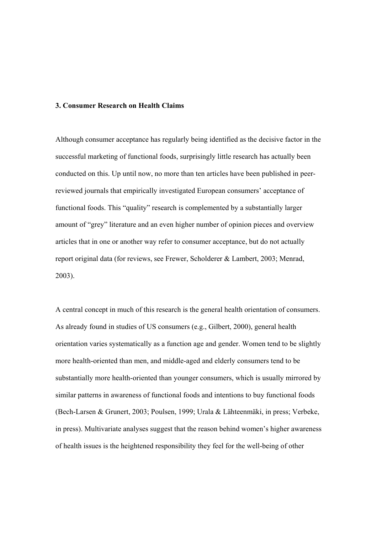#### **3. Consumer Research on Health Claims**

Although consumer acceptance has regularly being identified as the decisive factor in the successful marketing of functional foods, surprisingly little research has actually been conducted on this. Up until now, no more than ten articles have been published in peerreviewed journals that empirically investigated European consumers' acceptance of functional foods. This "quality" research is complemented by a substantially larger amount of "grey" literature and an even higher number of opinion pieces and overview articles that in one or another way refer to consumer acceptance, but do not actually report original data (for reviews, see Frewer, Scholderer & Lambert, 2003; Menrad, 2003).

A central concept in much of this research is the general health orientation of consumers. As already found in studies of US consumers (e.g., Gilbert, 2000), general health orientation varies systematically as a function age and gender. Women tend to be slightly more health-oriented than men, and middle-aged and elderly consumers tend to be substantially more health-oriented than younger consumers, which is usually mirrored by similar patterns in awareness of functional foods and intentions to buy functional foods (Bech-Larsen & Grunert, 2003; Poulsen, 1999; Urala & Lähteenmäki, in press; Verbeke, in press). Multivariate analyses suggest that the reason behind women's higher awareness of health issues is the heightened responsibility they feel for the well-being of other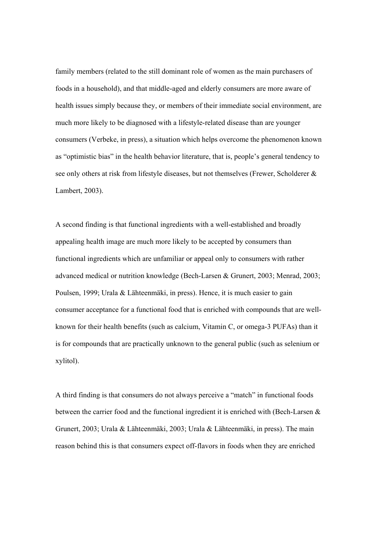family members (related to the still dominant role of women as the main purchasers of foods in a household), and that middle-aged and elderly consumers are more aware of health issues simply because they, or members of their immediate social environment, are much more likely to be diagnosed with a lifestyle-related disease than are younger consumers (Verbeke, in press), a situation which helps overcome the phenomenon known as "optimistic bias" in the health behavior literature, that is, people's general tendency to see only others at risk from lifestyle diseases, but not themselves (Frewer, Scholderer & Lambert, 2003).

A second finding is that functional ingredients with a well-established and broadly appealing health image are much more likely to be accepted by consumers than functional ingredients which are unfamiliar or appeal only to consumers with rather advanced medical or nutrition knowledge (Bech-Larsen & Grunert, 2003; Menrad, 2003; Poulsen, 1999; Urala & Lähteenmäki, in press). Hence, it is much easier to gain consumer acceptance for a functional food that is enriched with compounds that are wellknown for their health benefits (such as calcium, Vitamin C, or omega-3 PUFAs) than it is for compounds that are practically unknown to the general public (such as selenium or xylitol).

A third finding is that consumers do not always perceive a "match" in functional foods between the carrier food and the functional ingredient it is enriched with (Bech-Larsen & Grunert, 2003; Urala & Lähteenmäki, 2003; Urala & Lähteenmäki, in press). The main reason behind this is that consumers expect off-flavors in foods when they are enriched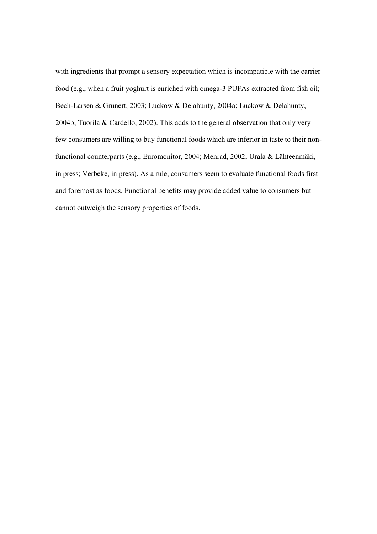with ingredients that prompt a sensory expectation which is incompatible with the carrier food (e.g., when a fruit yoghurt is enriched with omega-3 PUFAs extracted from fish oil; Bech-Larsen & Grunert, 2003; Luckow & Delahunty, 2004a; Luckow & Delahunty, 2004b; Tuorila & Cardello, 2002). This adds to the general observation that only very few consumers are willing to buy functional foods which are inferior in taste to their nonfunctional counterparts (e.g., Euromonitor, 2004; Menrad, 2002; Urala & Lähteenmäki, in press; Verbeke, in press). As a rule, consumers seem to evaluate functional foods first and foremost as foods. Functional benefits may provide added value to consumers but cannot outweigh the sensory properties of foods.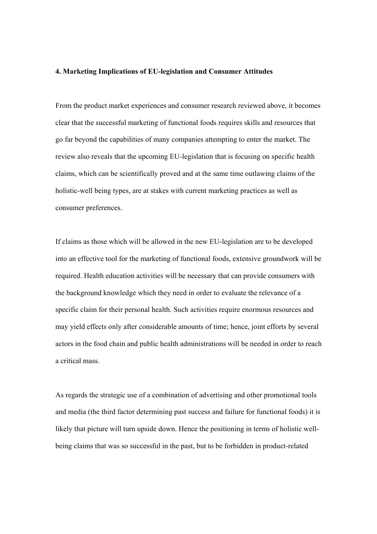#### **4. Marketing Implications of EU-legislation and Consumer Attitudes**

From the product market experiences and consumer research reviewed above, it becomes clear that the successful marketing of functional foods requires skills and resources that go far beyond the capabilities of many companies attempting to enter the market. The review also reveals that the upcoming EU-legislation that is focusing on specific health claims, which can be scientifically proved and at the same time outlawing claims of the holistic-well being types, are at stakes with current marketing practices as well as consumer preferences.

If claims as those which will be allowed in the new EU-legislation are to be developed into an effective tool for the marketing of functional foods, extensive groundwork will be required. Health education activities will be necessary that can provide consumers with the background knowledge which they need in order to evaluate the relevance of a specific claim for their personal health. Such activities require enormous resources and may yield effects only after considerable amounts of time; hence, joint efforts by several actors in the food chain and public health administrations will be needed in order to reach a critical mass.

As regards the strategic use of a combination of advertising and other promotional tools and media (the third factor determining past success and failure for functional foods) it is likely that picture will turn upside down. Hence the positioning in terms of holistic wellbeing claims that was so successful in the past, but to be forbidden in product-related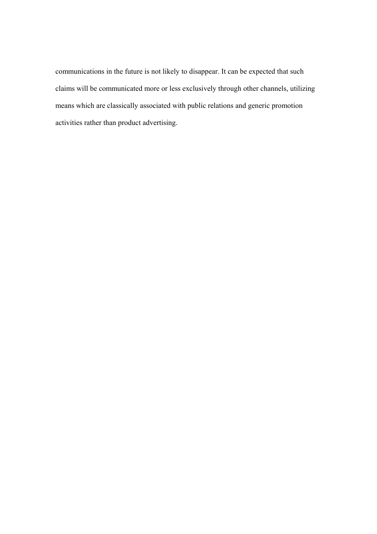communications in the future is not likely to disappear. It can be expected that such claims will be communicated more or less exclusively through other channels, utilizing means which are classically associated with public relations and generic promotion activities rather than product advertising.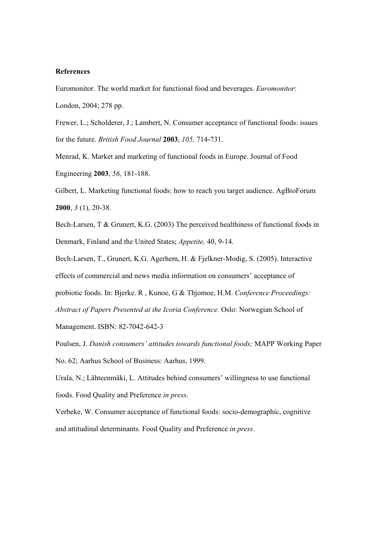### **References**

Euromonitor. The world market for functional food and beverages. *Euromonitor*:

London, 2004; 278 pp.

Frewer, L.; Scholderer, J.; Lambert, N. Consumer acceptance of functional foods: issues for the future. *British Food Journal* **2003**, *105,* 714-731.

Menrad, K. Market and marketing of functional foods in Europe. Journal of Food Engineering **2003**, *56,* 181-188.

Gilbert, L. Marketing functional foods: how to reach you target audience. AgBioForum **2000**, *3* (1), 20-38.

Bech-Larsen, T & Grunert, K.G. (2003) The perceived healthiness of functional foods in Denmark, Finland and the United States; *Appetite,* 40, 9-14.

Bech-Larsen, T., Grunert, K.G. Agerhem, H. & Fjelkner-Modig, S. (2005). Interactive effects of commercial and news media information on consumers' acceptance of

probiotic foods. In: Bjerke. R , Kunoe, G & Thjomoe, H.M. *Conference Proceedings:* 

*Abstract of Papers Presented at the Icoria Conference.* Oslo: Norwegian School of Management. ISBN: 82-7042-642-3

Poulsen, J. *Danish consumers' attitudes towards functional foods;* MAPP Working Paper No. 62; Aarhus School of Business: Aarhus, 1999.

Urala, N.; Lähteenmäki, L. Attitudes behind consumers' willingness to use functional foods. Food Quality and Preference *in press*.

Verbeke, W. Consumer acceptance of functional foods: socio-demographic, cognitive and attitudinal determinants. Food Quality and Preference *in press*.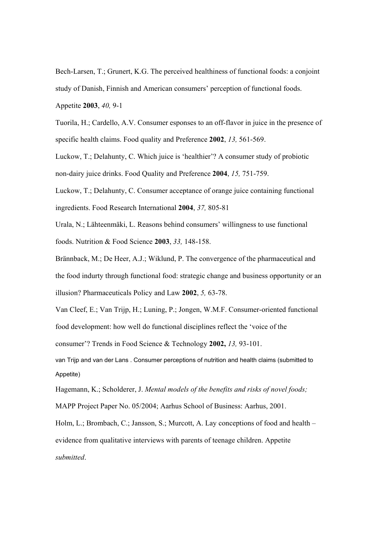Bech-Larsen, T.; Grunert, K.G. The perceived healthiness of functional foods: a conjoint study of Danish, Finnish and American consumers' perception of functional foods. Appetite **2003**, *40,* 9-1

Tuorila, H.; Cardello, A.V. Consumer esponses to an off-flavor in juice in the presence of specific health claims. Food quality and Preference **2002**, *13,* 561-569.

Luckow, T.; Delahunty, C. Which juice is 'healthier'? A consumer study of probiotic non-dairy juice drinks. Food Quality and Preference **2004**, *15,* 751-759.

Luckow, T.; Delahunty, C. Consumer acceptance of orange juice containing functional ingredients. Food Research International **2004**, *37,* 805-81

Urala, N.; Lähteenmäki, L. Reasons behind consumers' willingness to use functional foods. Nutrition & Food Science **2003**, *33,* 148-158.

Brännback, M.; De Heer, A.J.; Wiklund, P. The convergence of the pharmaceutical and the food indurty through functional food: strategic change and business opportunity or an illusion? Pharmaceuticals Policy and Law **2002**, *5,* 63-78.

Van Cleef, E.; Van Trijp, H.; Luning, P.; Jongen, W.M.F. Consumer-oriented functional food development: how well do functional disciplines reflect the 'voice of the

consumer'? Trends in Food Science & Technology **2002,** *13,* 93-101.

van Trijp and van der Lans . Consumer perceptions of nutrition and health claims (submitted to Appetite)

Hagemann, K.; Scholderer, J. *Mental models of the benefits and risks of novel foods;*

MAPP Project Paper No. 05/2004; Aarhus School of Business: Aarhus, 2001.

Holm, L.; Brombach, C.; Jansson, S.; Murcott, A. Lay conceptions of food and health – evidence from qualitative interviews with parents of teenage children. Appetite *submitted*.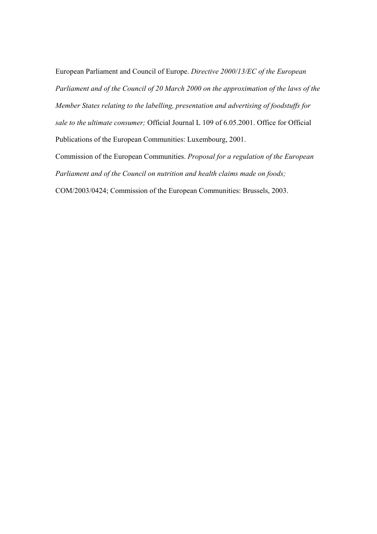European Parliament and Council of Europe. *Directive 2000/13/EC of the European Parliament and of the Council of 20 March 2000 on the approximation of the laws of the Member States relating to the labelling, presentation and advertising of foodstuffs for sale to the ultimate consumer;* Official Journal L 109 of 6.05.2001. Office for Official Publications of the European Communities: Luxembourg, 2001.

Commission of the European Communities. *Proposal for a regulation of the European Parliament and of the Council on nutrition and health claims made on foods;*

COM/2003/0424; Commission of the European Communities: Brussels, 2003.